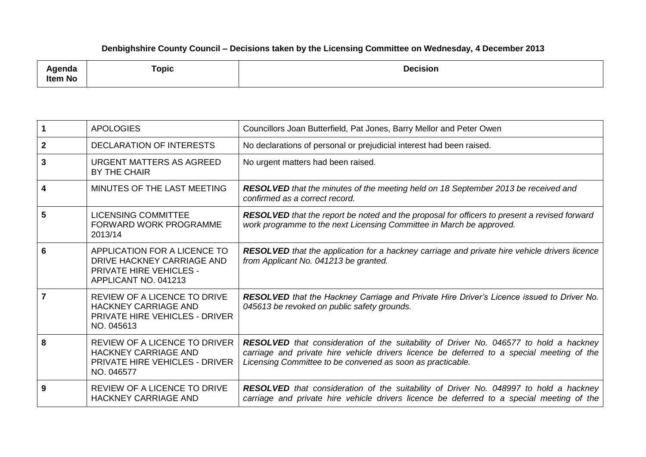## **Denbighshire County Council – Decisions taken by the Licensing Committee on Wednesday, 4 December 2013**

| <b>\qenda</b><br><b>Item No</b> | <b>Topic</b> | <b>Decision</b> |
|---------------------------------|--------------|-----------------|
|---------------------------------|--------------|-----------------|

| 1           | <b>APOLOGIES</b>                                                                                                           | Councillors Joan Butterfield, Pat Jones, Barry Mellor and Peter Owen                                                                                                                                                                             |
|-------------|----------------------------------------------------------------------------------------------------------------------------|--------------------------------------------------------------------------------------------------------------------------------------------------------------------------------------------------------------------------------------------------|
| $\mathbf 2$ | <b>DECLARATION OF INTERESTS</b>                                                                                            | No declarations of personal or prejudicial interest had been raised.                                                                                                                                                                             |
| 3           | URGENT MATTERS AS AGREED<br>BY THE CHAIR                                                                                   | No urgent matters had been raised.                                                                                                                                                                                                               |
| 4           | MINUTES OF THE LAST MEETING                                                                                                | <b>RESOLVED</b> that the minutes of the meeting held on 18 September 2013 be received and<br>confirmed as a correct record.                                                                                                                      |
| 5           | <b>LICENSING COMMITTEE</b><br>FORWARD WORK PROGRAMME<br>2013/14                                                            | RESOLVED that the report be noted and the proposal for officers to present a revised forward<br>work programme to the next Licensing Committee in March be approved.                                                                             |
| 6           | APPLICATION FOR A LICENCE TO<br>DRIVE HACKNEY CARRIAGE AND<br><b>PRIVATE HIRE VEHICLES -</b><br>APPLICANT NO. 041213       | RESOLVED that the application for a hackney carriage and private hire vehicle drivers licence<br>from Applicant No. 041213 be granted.                                                                                                           |
| 7           | <b>REVIEW OF A LICENCE TO DRIVE</b><br><b>HACKNEY CARRIAGE AND</b><br><b>PRIVATE HIRE VEHICLES - DRIVER</b><br>NO. 045613  | RESOLVED that the Hackney Carriage and Private Hire Driver's Licence issued to Driver No.<br>045613 be revoked on public safety grounds.                                                                                                         |
| 8           | <b>REVIEW OF A LICENCE TO DRIVER</b><br><b>HACKNEY CARRIAGE AND</b><br><b>PRIVATE HIRE VEHICLES - DRIVER</b><br>NO. 046577 | RESOLVED that consideration of the suitability of Driver No. 046577 to hold a hackney<br>carriage and private hire vehicle drivers licence be deferred to a special meeting of the<br>Licensing Committee to be convened as soon as practicable. |
| 9           | REVIEW OF A LICENCE TO DRIVE<br><b>HACKNEY CARRIAGE AND</b>                                                                | <b>RESOLVED</b> that consideration of the suitability of Driver No. 048997 to hold a hackney<br>carriage and private hire vehicle drivers licence be deferred to a special meeting of the                                                        |